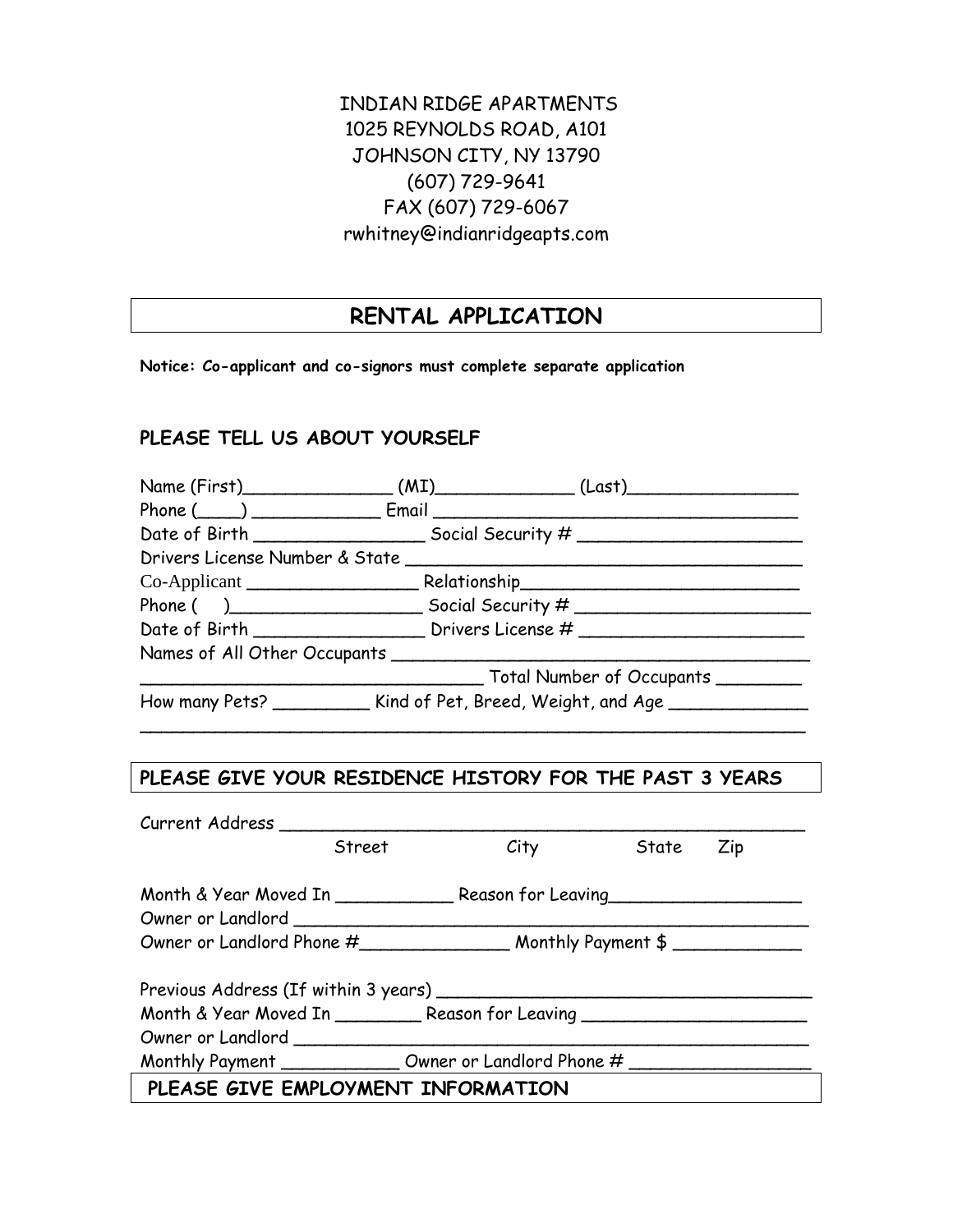## INDIAN RIDGE APARTMENTS 1025 REYNOLDS ROAD, A101 JOHNSON CITY, NY 13790 (607) 729-9641 FAX (607) 729-6067 rwhitney@indianridgeapts.com

# **RENTAL APPLICATION**

**Notice: Co-applicant and co-signors must complete separate application**

## **PLEASE TELL US ABOUT YOURSELF**

| Name (First)__________________(MI)______________(Last)__________________________ |  |                                                |  |  |
|----------------------------------------------------------------------------------|--|------------------------------------------------|--|--|
|                                                                                  |  |                                                |  |  |
|                                                                                  |  |                                                |  |  |
|                                                                                  |  |                                                |  |  |
|                                                                                  |  |                                                |  |  |
|                                                                                  |  |                                                |  |  |
|                                                                                  |  |                                                |  |  |
| Names of All Other Occupants ________________                                    |  |                                                |  |  |
|                                                                                  |  | __________ Total Number of Occupants _________ |  |  |
| How many Pets? _____________ Kind of Pet, Breed, Weight, and Age _______________ |  |                                                |  |  |

### **PLEASE GIVE YOUR RESIDENCE HISTORY FOR THE PAST 3 YEARS**

\_\_\_\_\_\_\_\_\_\_\_\_\_\_\_\_\_\_\_\_\_\_\_\_\_\_\_\_\_\_\_\_\_\_\_\_\_\_\_\_\_\_\_\_\_\_\_\_\_\_\_\_\_\_\_\_\_\_\_\_\_\_

| Current Address                                                                  |        |      |       |     |
|----------------------------------------------------------------------------------|--------|------|-------|-----|
|                                                                                  | Street | City | State | Zip |
|                                                                                  |        |      |       |     |
| Month & Year Moved In _________________ Reason for Leaving _____________________ |        |      |       |     |
| Owner or Landlord ______                                                         |        |      |       |     |
|                                                                                  |        |      |       |     |
|                                                                                  |        |      |       |     |
|                                                                                  |        |      |       |     |
| Month & Year Moved In ___________ Reason for Leaving ___________________________ |        |      |       |     |
|                                                                                  |        |      |       |     |
| Monthly Payment _________________ Owner or Landlord Phone # _______              |        |      |       |     |
| PLEASE GIVE EMPLOYMENT INFORMATION                                               |        |      |       |     |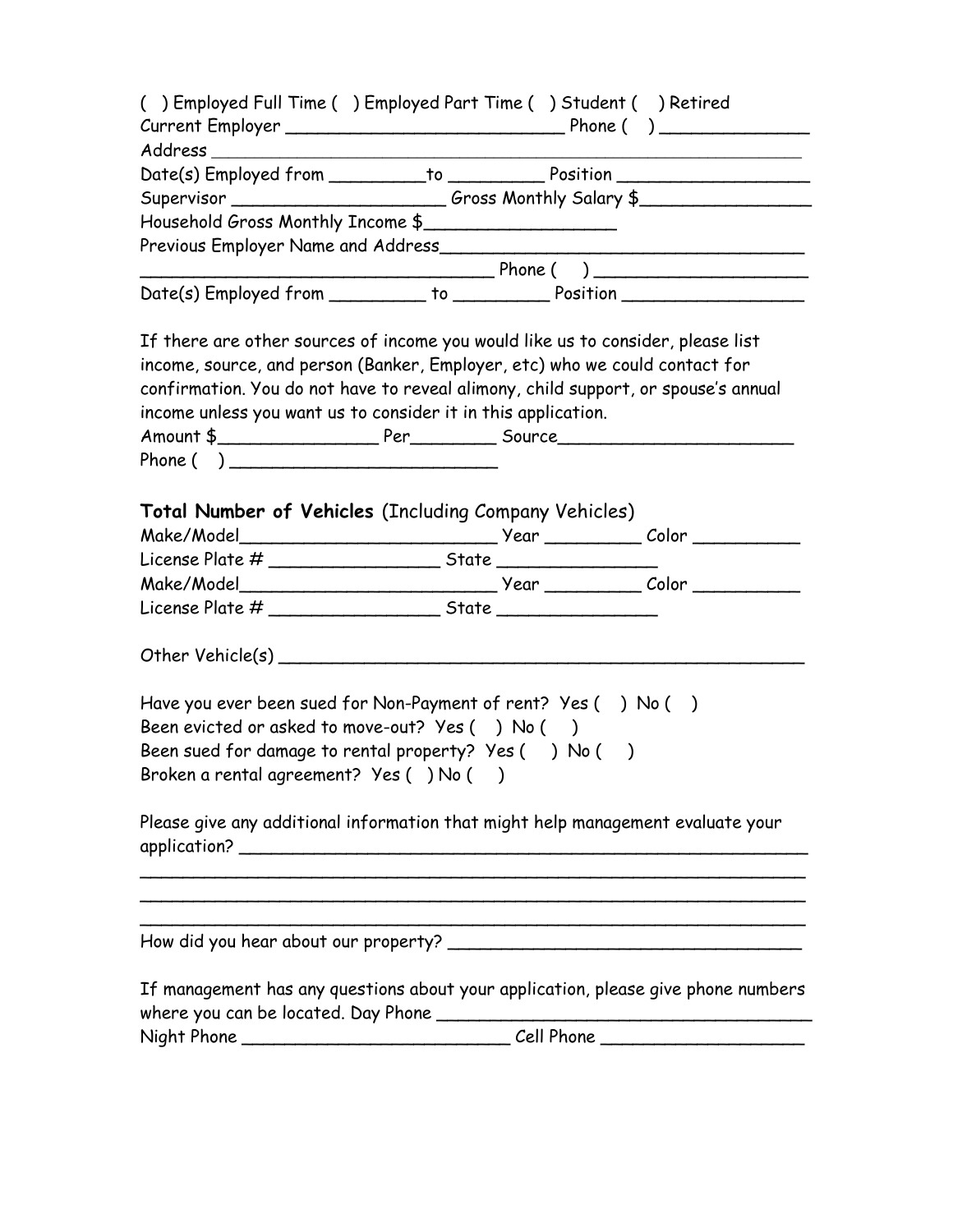| () Employed Full Time () Employed Part Time () Student () Retired                                                                                                                                                                                    |  |  |
|------------------------------------------------------------------------------------------------------------------------------------------------------------------------------------------------------------------------------------------------------|--|--|
|                                                                                                                                                                                                                                                      |  |  |
|                                                                                                                                                                                                                                                      |  |  |
| Date(s) Employed from ____________to _______________Position ___________________                                                                                                                                                                     |  |  |
| Supervisor ____________________________Gross Monthly Salary \$___________________                                                                                                                                                                    |  |  |
| Household Gross Monthly Income \$                                                                                                                                                                                                                    |  |  |
|                                                                                                                                                                                                                                                      |  |  |
|                                                                                                                                                                                                                                                      |  |  |
| Date(s) Employed from ___________ to _____________ Position ____________________                                                                                                                                                                     |  |  |
| If there are other sources of income you would like us to consider, please list<br>income, source, and person (Banker, Employer, etc) who we could contact for<br>confirmation. You do not have to reveal alimony, child support, or spouse's annual |  |  |
| income unless you want us to consider it in this application.                                                                                                                                                                                        |  |  |
|                                                                                                                                                                                                                                                      |  |  |
| Phone( )                                                                                                                                                                                                                                             |  |  |
|                                                                                                                                                                                                                                                      |  |  |
|                                                                                                                                                                                                                                                      |  |  |
| Have you ever been sued for Non-Payment of rent? Yes () No ()                                                                                                                                                                                        |  |  |
| Been evicted or asked to move-out? Yes () No ()                                                                                                                                                                                                      |  |  |
| Been sued for damage to rental property? Yes () No ()                                                                                                                                                                                                |  |  |
| Broken a rental agreement? Yes () No ()                                                                                                                                                                                                              |  |  |
|                                                                                                                                                                                                                                                      |  |  |
| Please give any additional information that might help management evaluate your                                                                                                                                                                      |  |  |
|                                                                                                                                                                                                                                                      |  |  |
|                                                                                                                                                                                                                                                      |  |  |
| If management has any questions about your application, please give phone numbers                                                                                                                                                                    |  |  |
|                                                                                                                                                                                                                                                      |  |  |
|                                                                                                                                                                                                                                                      |  |  |